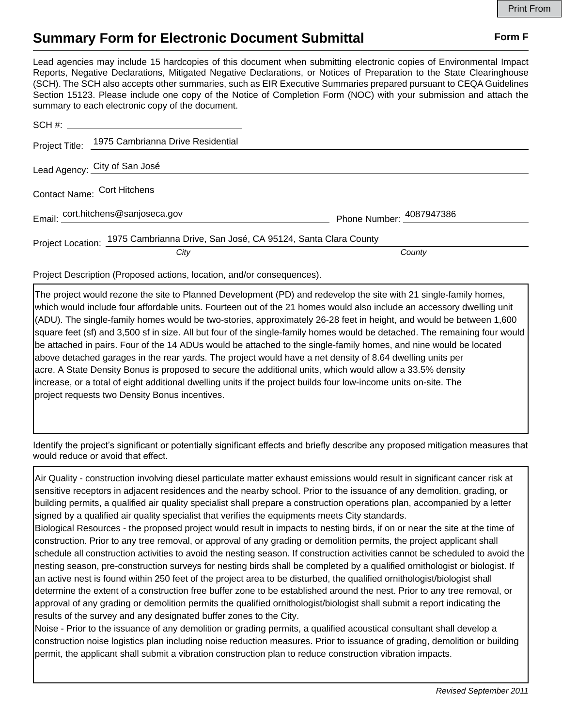## **Summary Form for Electronic Document Submittal Form F Form F**

Lead agencies may include 15 hardcopies of this document when submitting electronic copies of Environmental Impact Reports, Negative Declarations, Mitigated Negative Declarations, or Notices of Preparation to the State Clearinghouse (SCH). The SCH also accepts other summaries, such as EIR Executive Summaries prepared pursuant to CEQA Guidelines Section 15123. Please include one copy of the Notice of Completion Form (NOC) with your submission and attach the summary to each electronic copy of the document.

|                             | Project Title: 1975 Cambrianna Drive Residential                                |                          |
|-----------------------------|---------------------------------------------------------------------------------|--------------------------|
|                             | Lead Agency: City of San José                                                   |                          |
| Contact Name: Cort Hitchens |                                                                                 |                          |
|                             | Email: cort.hitchens@sanjoseca.gov                                              | Phone Number: 4087947386 |
|                             | Project Location: 1975 Cambrianna Drive, San José, CA 95124, Santa Clara County |                          |
|                             | City                                                                            | County                   |

Project Description (Proposed actions, location, and/or consequences).

The project would rezone the site to Planned Development (PD) and redevelop the site with 21 single-family homes, which would include four affordable units. Fourteen out of the 21 homes would also include an accessory dwelling unit (ADU). The single-family homes would be two-stories, approximately 26-28 feet in height, and would be between 1,600 square feet (sf) and 3,500 sf in size. All but four of the single-family homes would be detached. The remaining four would be attached in pairs. Four of the 14 ADUs would be attached to the single-family homes, and nine would be located above detached garages in the rear yards. The project would have a net density of 8.64 dwelling units per acre. A State Density Bonus is proposed to secure the additional units, which would allow a 33.5% density increase, or a total of eight additional dwelling units if the project builds four low-income units on-site. The project requests two Density Bonus incentives.

Identify the project's significant or potentially significant effects and briefly describe any proposed mitigation measures that would reduce or avoid that effect.

Air Quality - construction involving diesel particulate matter exhaust emissions would result in significant cancer risk at sensitive receptors in adjacent residences and the nearby school. Prior to the issuance of any demolition, grading, or building permits, a qualified air quality specialist shall prepare a construction operations plan, accompanied by a letter signed by a qualified air quality specialist that verifies the equipments meets City standards.

Biological Resources - the proposed project would result in impacts to nesting birds, if on or near the site at the time of construction. Prior to any tree removal, or approval of any grading or demolition permits, the project applicant shall schedule all construction activities to avoid the nesting season. If construction activities cannot be scheduled to avoid the nesting season, pre-construction surveys for nesting birds shall be completed by a qualified ornithologist or biologist. If an active nest is found within 250 feet of the project area to be disturbed, the qualified ornithologist/biologist shall determine the extent of a construction free buffer zone to be established around the nest. Prior to any tree removal, or approval of any grading or demolition permits the qualified ornithologist/biologist shall submit a report indicating the results of the survey and any designated buffer zones to the City.

Noise - Prior to the issuance of any demolition or grading permits, a qualified acoustical consultant shall develop a construction noise logistics plan including noise reduction measures. Prior to issuance of grading, demolition or building permit, the applicant shall submit a vibration construction plan to reduce construction vibration impacts.